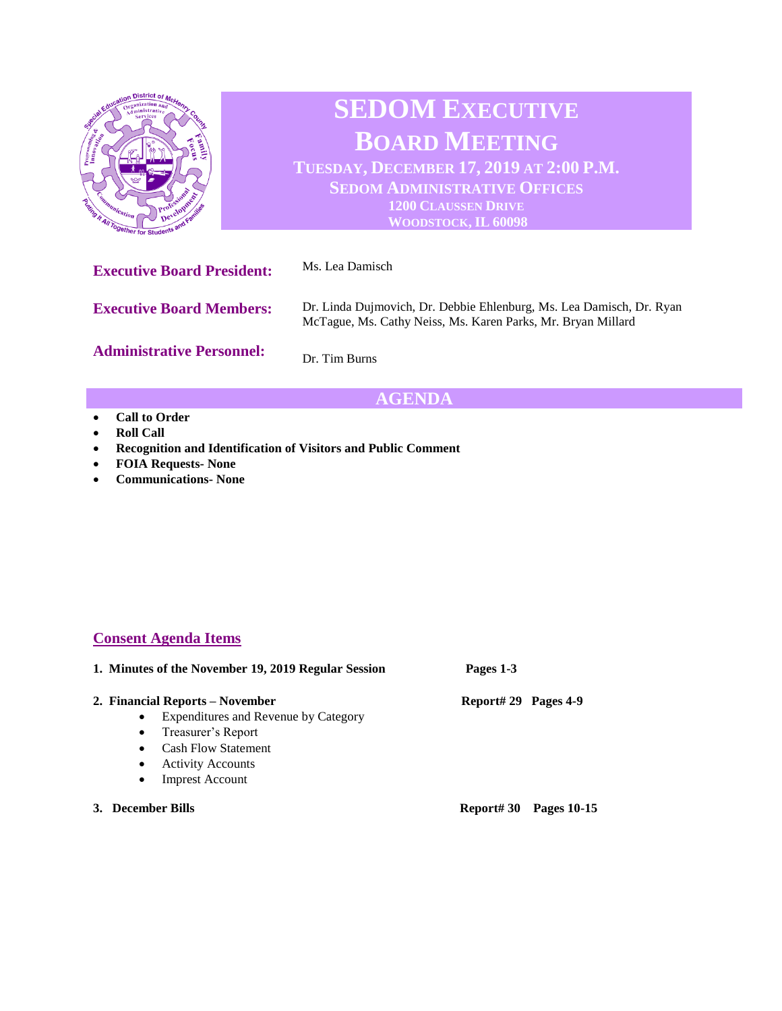

## **AGENDA**

- **Call to Order**
- **Roll Call**
- **Recognition and Identification of Visitors and Public Comment**
- **FOIA Requests- None**
- **Communications- None**

## **Consent Agenda Items**

| 1. Minutes of the November 19, 2019 Regular Session | Pages 1-3            |  |
|-----------------------------------------------------|----------------------|--|
| 2. Financial Reports – November                     | Report# 29 Pages 4-9 |  |
| Expenditures and Revenue by Category<br>$\bullet$   |                      |  |
| Treasurer's Report<br>$\bullet$                     |                      |  |
| <b>Cash Flow Statement</b><br>$\bullet$             |                      |  |
| <b>Activity Accounts</b>                            |                      |  |

- Imprest Account
- **3. December Bills Report# 30 Pages 10-15**
-